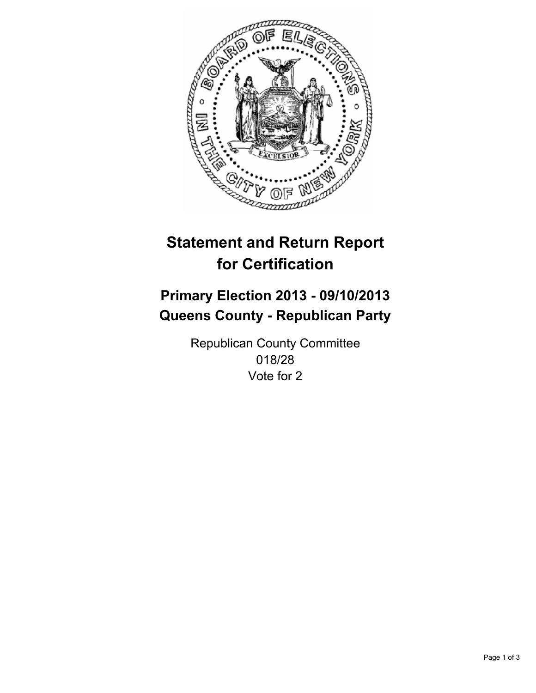

# **Statement and Return Report for Certification**

# **Primary Election 2013 - 09/10/2013 Queens County - Republican Party**

Republican County Committee 018/28 Vote for 2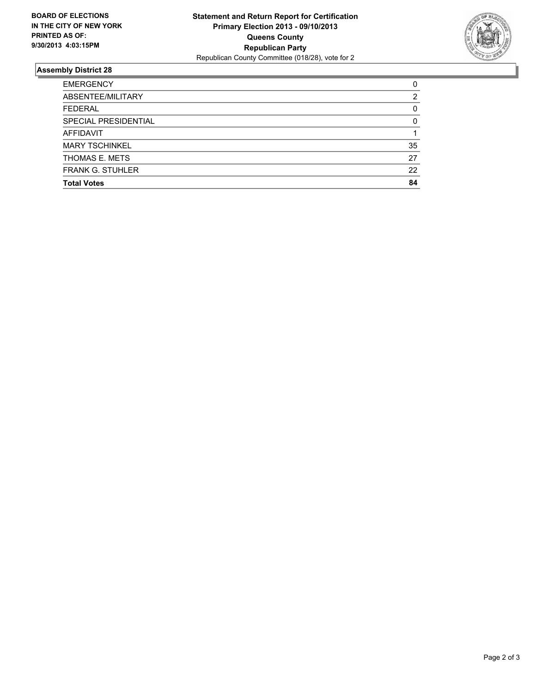

## **Assembly District 28**

| <b>EMERGENCY</b>        | 0        |
|-------------------------|----------|
| ABSENTEE/MILITARY       | 2        |
| <b>FEDERAL</b>          | 0        |
| SPECIAL PRESIDENTIAL    | $\Omega$ |
| <b>AFFIDAVIT</b>        |          |
| <b>MARY TSCHINKEL</b>   | 35       |
| THOMAS E. METS          | 27       |
| <b>FRANK G. STUHLER</b> | 22       |
| <b>Total Votes</b>      | 84       |